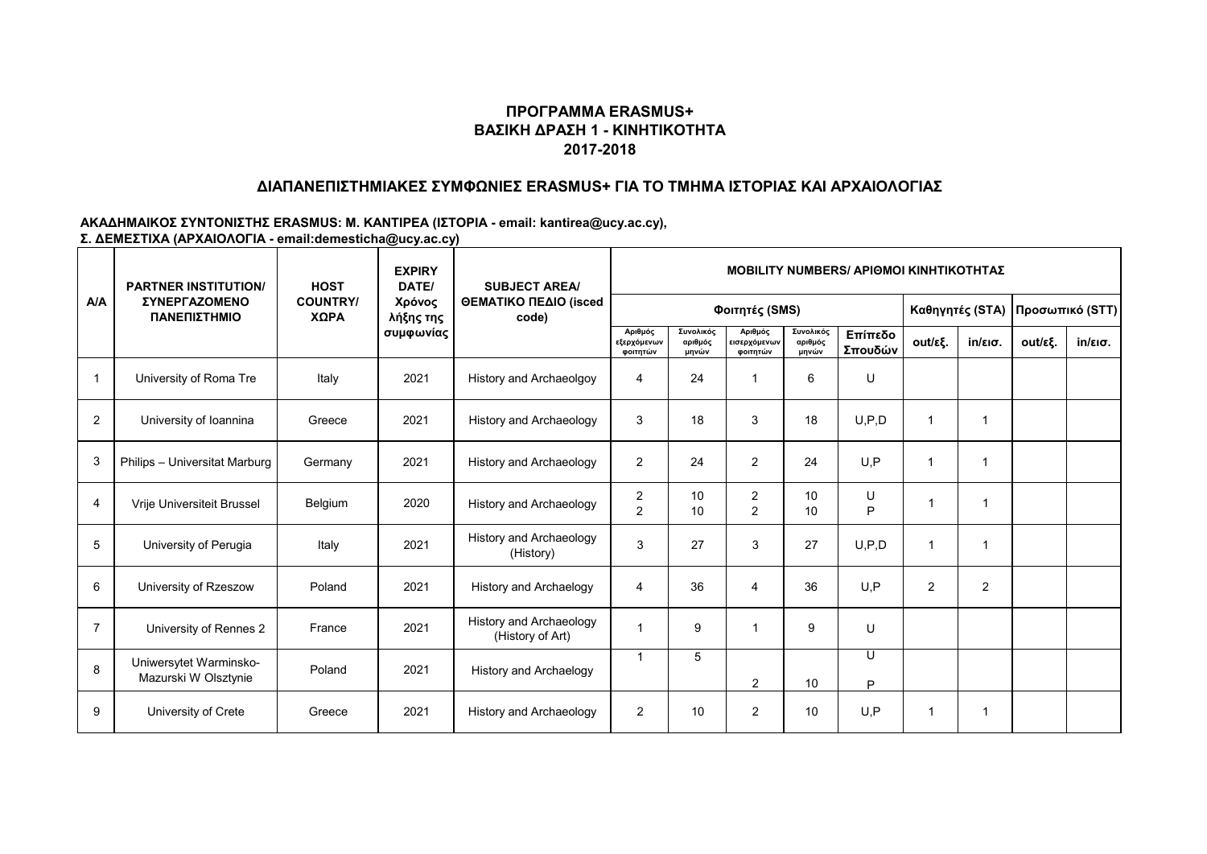## **ΔΙΑΠΑΝΕΠΙΣΤΗΜΙΑΚΕΣ ΣΥΜΦΩΝΙΕΣ ERASMUS+ ΓΙΑ ΤΟ ΤΜΗΜΑ ΙΣΤΟΡΙΑΣ ΚΑΙ ΑΡΧΑΙΟΛΟΓΙΑΣ**

|                | <b>PARTNER INSTITUTION/</b><br><b><i>ΣΥΝΕΡΓΑΖΟΜΕΝΟ</i></b><br>ΠΑΝΕΠΙΣΤΗΜΙΟ | <b>HOST</b>             | <b>EXPIRY</b><br>DATE/ | <b>SUBJECT AREA/</b><br>ΘΕΜΑΤΙΚΟ ΠΕΔΙΟ (isced<br>code) | <b>MOBILITY NUMBERS/ APIOMOI KINHTIKOTHTAZ</b> |                               |                                     |                               |                    |                |                 |         |                   |  |  |
|----------------|----------------------------------------------------------------------------|-------------------------|------------------------|--------------------------------------------------------|------------------------------------------------|-------------------------------|-------------------------------------|-------------------------------|--------------------|----------------|-----------------|---------|-------------------|--|--|
| A/A            |                                                                            | <b>COUNTRY/</b><br>ΧΩΡΑ | Χρόνος<br>λήξης της    |                                                        |                                                |                               | Φοιτητές (SMS)                      |                               | Καθηγητές (STA)    |                | Προσωπικό (STT) |         |                   |  |  |
|                |                                                                            |                         | συμφωνίας              |                                                        | Αριθμός<br>εξερχόμενων<br>φοιτητών             | Συνολικός<br>αριθμός<br>μηνών | Αριθμός<br>εισερχόμενων<br>φοιτητών | Συνολικός<br>αριθμός<br>μηνών | Επίπεδο<br>Σπουδών | out/εξ.        | in/εισ.         | out/εξ. | $in/\epsilon$ ισ. |  |  |
| $\overline{1}$ | University of Roma Tre                                                     | Italy                   | 2021                   | History and Archaeolgoy                                | $\overline{4}$                                 | 24                            |                                     | 6                             | U                  |                |                 |         |                   |  |  |
| $\overline{2}$ | University of Ioannina                                                     | Greece                  | 2021                   | History and Archaeology                                | 3                                              | 18                            | 3                                   | 18                            | U, P, D            | 1              |                 |         |                   |  |  |
| 3              | Philips - Universitat Marburg                                              | Germany                 | 2021                   | <b>History and Archaeology</b>                         | 2                                              | 24                            | 2                                   | 24                            | U.P                | 1              |                 |         |                   |  |  |
| $\overline{4}$ | Vrije Universiteit Brussel                                                 | Belgium                 | 2020                   | <b>History and Archaeology</b>                         | 2<br>$\overline{2}$                            | 10<br>10                      | $\overline{2}$<br>2                 | 10<br>10                      | U<br>P             | $\mathbf 1$    |                 |         |                   |  |  |
| 5              | University of Perugia                                                      | Italy                   | 2021                   | History and Archaeology<br>(History)                   | 3                                              | 27                            | 3                                   | 27                            | U, P, D            | $\mathbf{1}$   | 1               |         |                   |  |  |
| 6              | University of Rzeszow                                                      | Poland                  | 2021                   | <b>History and Archaelogy</b>                          | $\overline{4}$                                 | 36                            | $\overline{4}$                      | 36                            | U, P               | $\overline{2}$ | $\overline{c}$  |         |                   |  |  |
| $\overline{7}$ | University of Rennes 2                                                     | France                  | 2021                   | History and Archaeology<br>(History of Art)            |                                                | 9                             |                                     | 9                             | $\cup$             |                |                 |         |                   |  |  |
| 8              | Uniwersytet Warminsko-<br>Mazurski W Olsztynie                             | Poland                  | 2021                   | History and Archaelogy                                 | -1                                             | 5                             | $\overline{2}$                      | 10                            | U<br>P             |                |                 |         |                   |  |  |
| 9              | University of Crete                                                        | Greece                  | 2021                   | <b>History and Archaeology</b>                         | 2                                              | 10                            | 2                                   | 10                            | U, P               | 1              |                 |         |                   |  |  |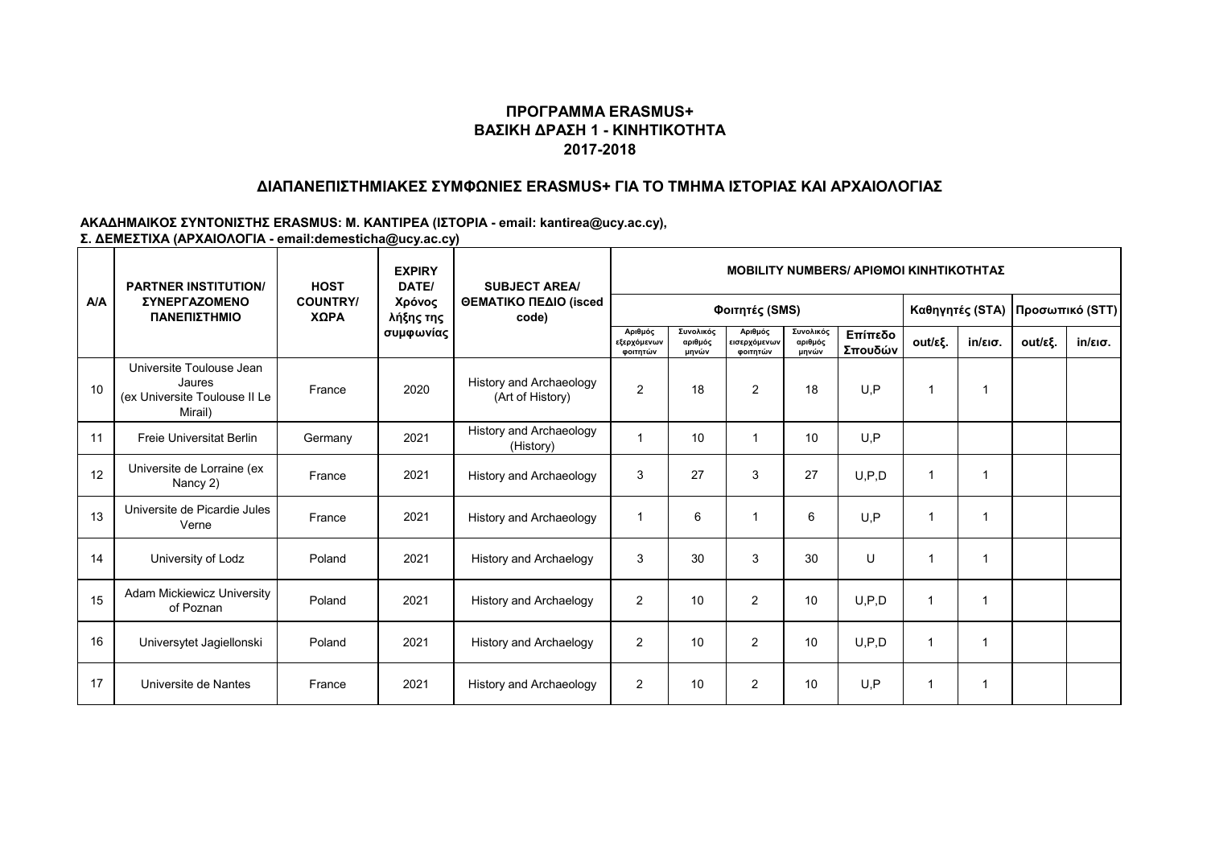## **ΔΙΑΠΑΝΕΠΙΣΤΗΜΙΑΚΕΣ ΣΥΜΦΩΝΙΕΣ ERASMUS+ ΓΙΑ ΤΟ ΤΜΗΜΑ ΙΣΤΟΡΙΑΣ ΚΑΙ ΑΡΧΑΙΟΛΟΓΙΑΣ**

|     | <b>PARTNER INSTITUTION/</b><br>ΣΥΝΕΡΓΑΖΟΜΕΝΟ<br>ΠΑΝΕΠΙΣΤΗΜΙΟ                   | <b>HOST</b>             | <b>EXPIRY</b><br>DATE/           | <b>SUBJECT AREA/</b><br>ΘΕΜΑΤΙΚΟ ΠΕΔΙΟ (isced<br>code) | <b>MOBILITY NUMBERS/ APIOMOI KINHTIKOTHTAZ</b> |                               |                                     |                               |                    |                 |                   |                 |                   |  |  |
|-----|--------------------------------------------------------------------------------|-------------------------|----------------------------------|--------------------------------------------------------|------------------------------------------------|-------------------------------|-------------------------------------|-------------------------------|--------------------|-----------------|-------------------|-----------------|-------------------|--|--|
| A/A |                                                                                | <b>COUNTRY/</b><br>ΧΩΡΑ | Χρόνος<br>λήξης της<br>συμφωνίας |                                                        |                                                |                               | Φοιτητές (SMS)                      |                               |                    | Καθηγητές (STA) |                   | Προσωπικό (STT) |                   |  |  |
|     |                                                                                |                         |                                  |                                                        | Αριθμός<br>εξερχόμενων<br>φοιτητών             | Συνολικός<br>αριθμός<br>μηνών | Αριθμός<br>εισερχόμενων<br>φοιτητών | Συνολικός<br>αριθμός<br>μηνών | Επίπεδο<br>Σπουδών | out/εξ.         | $in/\epsilon$ ισ. | out/εξ.         | $in/\epsilon$ ισ. |  |  |
| 10  | Universite Toulouse Jean<br>Jaures<br>(ex Universite Toulouse II Le<br>Mirail) | France                  | 2020                             | History and Archaeology<br>(Art of History)            | $\overline{2}$                                 | 18                            | 2                                   | 18                            | U.P                | 1               |                   |                 |                   |  |  |
| 11  | <b>Freie Universitat Berlin</b>                                                | Germany                 | 2021                             | <b>History and Archaeology</b><br>(History)            | 1                                              | 10                            |                                     | 10                            | U.P                |                 |                   |                 |                   |  |  |
| 12  | Universite de Lorraine (ex<br>Nancy 2)                                         | France                  | 2021                             | History and Archaeology                                | 3                                              | 27                            | 3                                   | 27                            | U, P, D            | -1              |                   |                 |                   |  |  |
| 13  | Universite de Picardie Jules<br>Verne                                          | France                  | 2021                             | <b>History and Archaeology</b>                         | $\mathbf 1$                                    | 6                             |                                     | 6                             | U.P                | $\mathbf 1$     | 1                 |                 |                   |  |  |
| 14  | University of Lodz                                                             | Poland                  | 2021                             | <b>History and Archaelogy</b>                          | 3                                              | 30                            | 3                                   | 30                            | U                  |                 |                   |                 |                   |  |  |
| 15  | <b>Adam Mickiewicz University</b><br>of Poznan                                 | Poland                  | 2021                             | <b>History and Archaelogy</b>                          | $\overline{2}$                                 | 10                            | $\overline{2}$                      | 10                            | U, P, D            | 1               |                   |                 |                   |  |  |
| 16  | Universytet Jagiellonski                                                       | Poland                  | 2021                             | <b>History and Archaelogy</b>                          | $\overline{2}$                                 | 10                            | $\overline{2}$                      | 10                            | U.P.D              | 1               |                   |                 |                   |  |  |
| 17  | Universite de Nantes                                                           | France                  | 2021                             | History and Archaeology                                | $\overline{2}$                                 | 10                            | 2                                   | 10                            | U, P               | 1               |                   |                 |                   |  |  |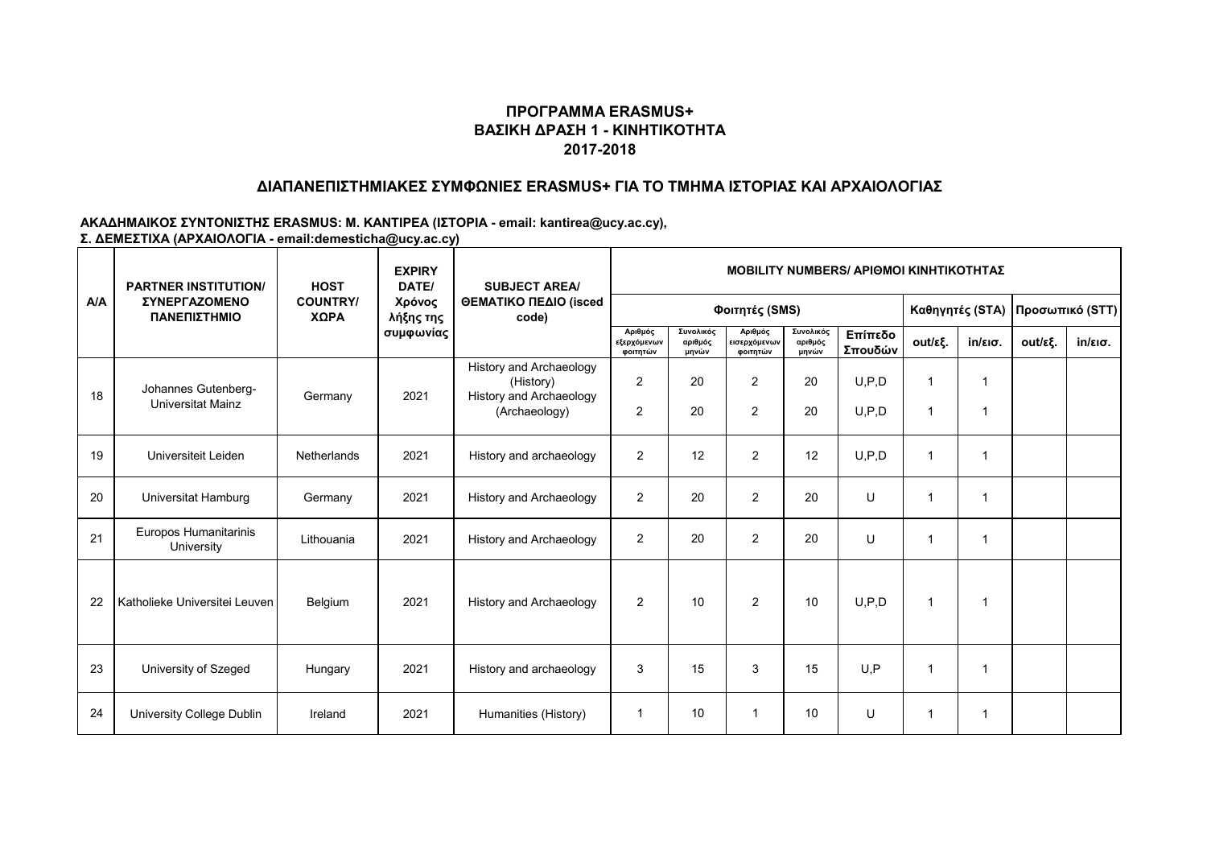## **ΔΙΑΠΑΝΕΠΙΣΤΗΜΙΑΚΕΣ ΣΥΜΦΩΝΙΕΣ ERASMUS+ ΓΙΑ ΤΟ ΤΜΗΜΑ ΙΣΤΟΡΙΑΣ ΚΑΙ ΑΡΧΑΙΟΛΟΓΙΑΣ**

|     | <b>PARTNER INSTITUTION/</b><br>ΣΥΝΕΡΓΑΖΟΜΕΝΟ<br>ΠΑΝΕΠΙΣΤΗΜΙΟ | <b>HOST</b>             | <b>EXPIRY</b><br>DATE/<br>Χρόνος<br>λήξης της | <b>SUBJECT AREA/</b><br>ΘΕΜΑΤΙΚΟ ΠΕΔΙΟ (isced<br>code)                           | <b>MOBILITY NUMBERS/ APIOMOI KINHTIKOTHTAZ</b> |                               |                                     |                               |                    |         |                   |         |                   |  |  |
|-----|--------------------------------------------------------------|-------------------------|-----------------------------------------------|----------------------------------------------------------------------------------|------------------------------------------------|-------------------------------|-------------------------------------|-------------------------------|--------------------|---------|-------------------|---------|-------------------|--|--|
| A/A |                                                              | <b>COUNTRY/</b><br>ΧΩΡΑ |                                               |                                                                                  |                                                |                               | Καθηγητές (STA)                     |                               | Προσωπικό (STT)    |         |                   |         |                   |  |  |
|     |                                                              |                         | συμφωνίας                                     |                                                                                  | Αριθμός<br>εξερχόμενων<br>φοιτητών             | Συνολικός<br>αριθμός<br>μηνών | Αριθμός<br>εισερχόμενων<br>φοιτητών | Συνολικός<br>αριθμός<br>μηνών | Επίπεδο<br>Σπουδών | out/εξ. | $in/\epsilon$ ισ. | out/εξ. | $in/\epsilon$ ισ. |  |  |
| 18  | Johannes Gutenberg-<br>Universitat Mainz                     | Germany                 | 2021                                          | History and Archaeology<br>(History)<br>History and Archaeology<br>(Archaeology) | 2<br>$\overline{2}$                            | 20<br>20                      | $\overline{2}$<br>2                 | 20<br>20                      | U, P, D<br>U, P, D | 1<br>1  |                   |         |                   |  |  |
| 19  | Universiteit Leiden                                          | <b>Netherlands</b>      | 2021                                          | History and archaeology                                                          | 2                                              | 12                            | $\overline{2}$                      | 12                            | U, P, D            | 1       |                   |         |                   |  |  |
| 20  | Universitat Hamburg                                          | Germany                 | 2021                                          | <b>History and Archaeology</b>                                                   | 2                                              | 20                            | $\overline{2}$                      | 20                            | U                  | 1       |                   |         |                   |  |  |
| 21  | Europos Humanitarinis<br>University                          | Lithouania              | 2021                                          | History and Archaeology                                                          | 2                                              | 20                            | $\overline{2}$                      | 20                            | U                  | 1       |                   |         |                   |  |  |
| 22  | Katholieke Universitei Leuven                                | Belgium                 | 2021                                          | <b>History and Archaeology</b>                                                   | 2                                              | 10                            | 2                                   | 10                            | U, P, D            | 1       |                   |         |                   |  |  |
| 23  | University of Szeged                                         | Hungary                 | 2021                                          | History and archaeology                                                          | 3                                              | 15                            | 3                                   | 15                            | U.P                | 1       |                   |         |                   |  |  |
| 24  | University College Dublin                                    | Ireland                 | 2021                                          | Humanities (History)                                                             | 1                                              | 10                            |                                     | 10                            | U                  | 1       |                   |         |                   |  |  |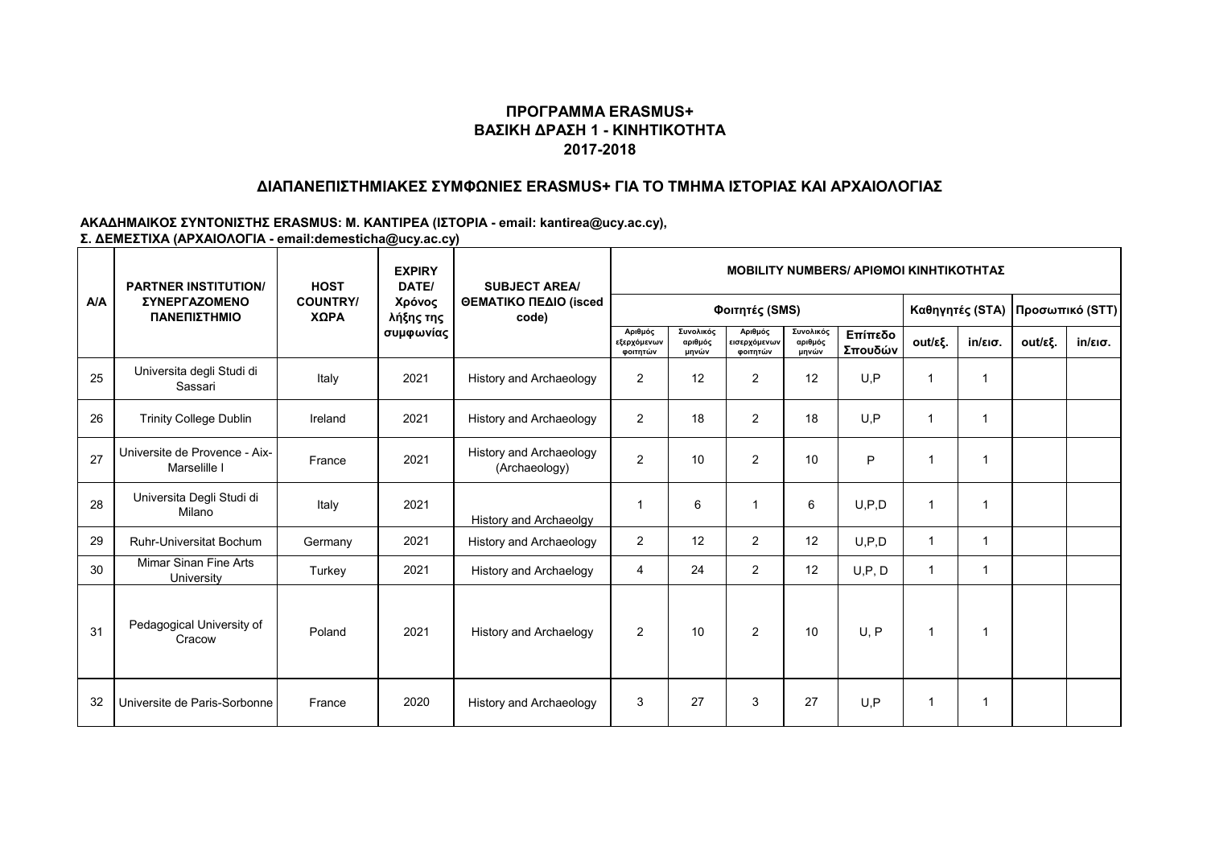## **ΔΙΑΠΑΝΕΠΙΣΤΗΜΙΑΚΕΣ ΣΥΜΦΩΝΙΕΣ ERASMUS+ ΓΙΑ ΤΟ ΤΜΗΜΑ ΙΣΤΟΡΙΑΣ ΚΑΙ ΑΡΧΑΙΟΛΟΓΙΑΣ**

|     | <b>PARTNER INSTITUTION/</b><br><b><i>ΣΥΝΕΡΓΑΖΟΜΕΝΟ</i></b><br>ΠΑΝΕΠΙΣΤΗΜΙΟ | <b>HOST</b>             | <b>EXPIRY</b><br>DATE/<br>Χρόνος<br>λήξης της<br>συμφωνίας | <b>SUBJECT AREA/</b><br>ΘΕΜΑΤΙΚΟ ΠΕΔΙΟ (isced<br>code) | <b>MOBILITY NUMBERS/ APIOMOI KINHTIKOTHTAZ</b> |                               |                                     |                               |                    |         |                   |         |                   |  |  |
|-----|----------------------------------------------------------------------------|-------------------------|------------------------------------------------------------|--------------------------------------------------------|------------------------------------------------|-------------------------------|-------------------------------------|-------------------------------|--------------------|---------|-------------------|---------|-------------------|--|--|
| A/A |                                                                            | <b>COUNTRY/</b><br>ΧΩΡΑ |                                                            |                                                        |                                                |                               | Καθηγητές (STA)                     |                               | Προσωπικό (STT)    |         |                   |         |                   |  |  |
|     |                                                                            |                         |                                                            |                                                        | Αριθμός<br>εξερχόμενων<br>φοιτητών             | Συνολικός<br>αριθμός<br>μηνών | Αριθμός<br>εισερχόμενων<br>ΦΟΙΤΠΤών | Συνολικός<br>αριθμός<br>μηνών | Επίπεδο<br>Σπουδών | out/εξ. | $in/\epsilon$ ισ. | out/εξ. | $in/\epsilon$ ισ. |  |  |
| 25  | Universita degli Studi di<br>Sassari                                       | Italy                   | 2021                                                       | <b>History and Archaeology</b>                         | 2                                              | 12                            | 2                                   | 12                            | U, P               | 1       |                   |         |                   |  |  |
| 26  | <b>Trinity College Dublin</b>                                              | Ireland                 | 2021                                                       | History and Archaeology                                | 2                                              | 18                            | 2                                   | 18                            | U, P               | 1       |                   |         |                   |  |  |
| 27  | Universite de Provence - Aix-<br>Marselille I                              | France                  | 2021                                                       | <b>History and Archaeology</b><br>(Archaeology)        | $\overline{2}$                                 | 10                            | 2                                   | 10                            | P                  |         |                   |         |                   |  |  |
| 28  | Universita Degli Studi di<br>Milano                                        | Italy                   | 2021                                                       | History and Archaeolgy                                 |                                                | 6                             |                                     | 6                             | U, P, D            |         | 1                 |         |                   |  |  |
| 29  | <b>Ruhr-Universitat Bochum</b>                                             | Germany                 | 2021                                                       | <b>History and Archaeology</b>                         | $\overline{2}$                                 | 12                            | $\overline{2}$                      | 12                            | U, P, D            |         | 1                 |         |                   |  |  |
| 30  | Mimar Sinan Fine Arts<br>University                                        | Turkey                  | 2021                                                       | <b>History and Archaelogy</b>                          | $\overline{4}$                                 | 24                            | 2                                   | 12                            | U, P, D            |         | 1                 |         |                   |  |  |
| 31  | Pedagogical University of<br>Cracow                                        | Poland                  | 2021                                                       | <b>History and Archaelogy</b>                          | 2                                              | 10                            | 2                                   | 10                            | U, P               | 1       | -1                |         |                   |  |  |
| 32  | Universite de Paris-Sorbonne                                               | France                  | 2020                                                       | History and Archaeology                                | 3                                              | 27                            | 3                                   | 27                            | U.P                |         |                   |         |                   |  |  |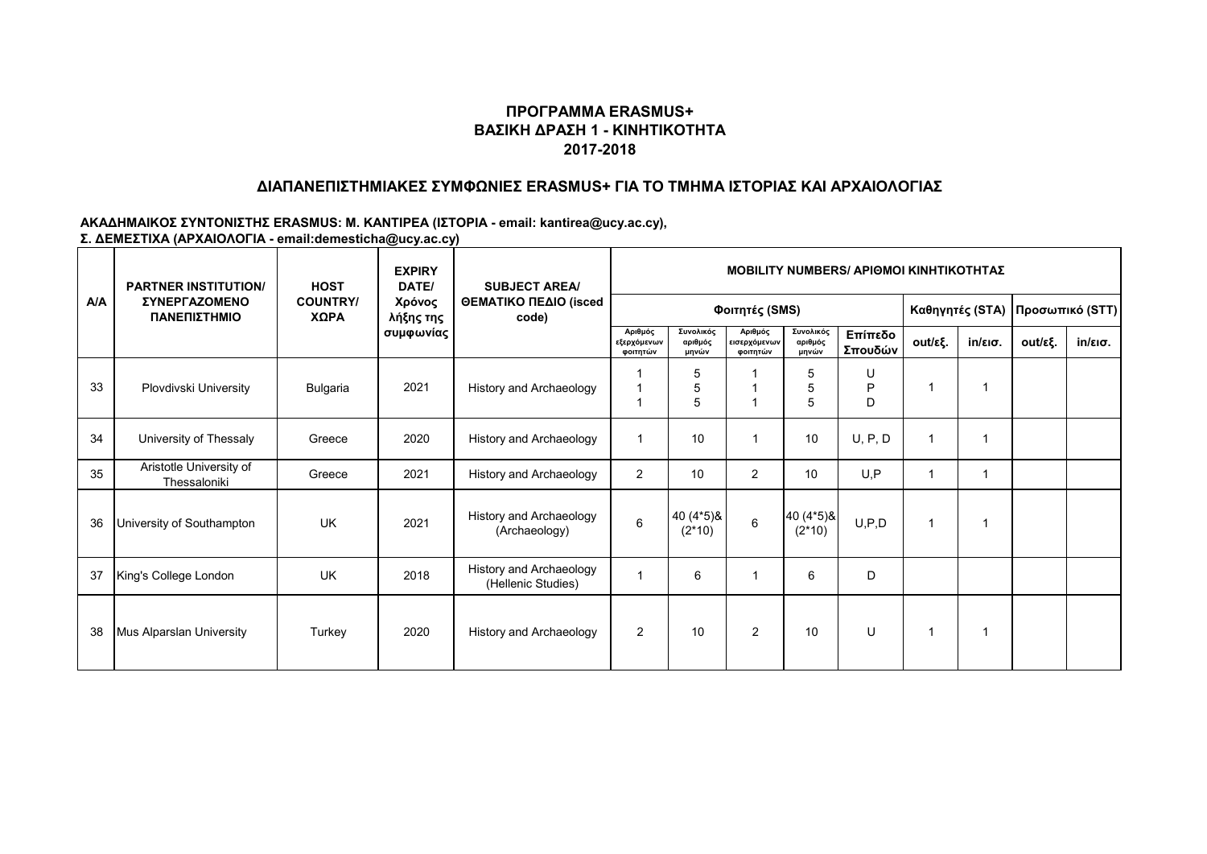### **ΔΙΑΠΑΝΕΠΙΣΤΗΜΙΑΚΕΣ ΣΥΜΦΩΝΙΕΣ ERASMUS+ ΓΙΑ ΤΟ ΤΜΗΜΑ ΙΣΤΟΡΙΑΣ ΚΑΙ ΑΡΧΑΙΟΛΟΓΙΑΣ**

|     | <b>PARTNER INSTITUTION/</b>                 | <b>HOST</b>             | <b>EXPIRY</b><br>DATE/<br>Χρόνος<br>λήξης της<br>συμφωνίας | <b>SUBJECT AREA/</b><br>ΘΕΜΑΤΙΚΟ ΠΕΔΙΟ (isced<br>code) | <b>MOBILITY NUMBERS/ APIOMOI KINHTIKOTHTAZ</b> |                               |                                     |                               |                    |         |                   |         |                   |  |  |
|-----|---------------------------------------------|-------------------------|------------------------------------------------------------|--------------------------------------------------------|------------------------------------------------|-------------------------------|-------------------------------------|-------------------------------|--------------------|---------|-------------------|---------|-------------------|--|--|
| A/A | <b><i>ΣΥΝΕΡΓΑΖΟΜΕΝΟ</i></b><br>ΠΑΝΕΠΙΣΤΗΜΙΟ | <b>COUNTRY/</b><br>ΧΩΡΑ |                                                            |                                                        |                                                |                               | Καθηγητές (STA)                     |                               | Προσωπικό (STT)    |         |                   |         |                   |  |  |
|     |                                             |                         |                                                            |                                                        | Αριθμός<br>εξερχόμενων<br>φοιτητών             | Συνολικός<br>αριθμός<br>μηνών | Αριθμός<br>εισερχόμενων<br>φοιτητών | Συνολικός<br>αριθμός<br>μηνών | Επίπεδο<br>Σπουδών | out/εξ. | $in/\epsilon$ ισ. | out/εξ. | $in/\epsilon$ ισ. |  |  |
| 33  | Plovdivski University                       | Bulgaria                | 2021                                                       | History and Archaeology                                |                                                | 5<br>5<br>5                   |                                     | 5<br>5<br>5                   | U<br>P<br>D        |         |                   |         |                   |  |  |
| 34  | University of Thessaly                      | Greece                  | 2020                                                       | History and Archaeology                                | 1                                              | 10                            |                                     | 10                            | U, P, D            |         |                   |         |                   |  |  |
| 35  | Aristotle University of<br>Thessaloniki     | Greece                  | 2021                                                       | History and Archaeology                                | 2                                              | 10                            | 2                                   | 10                            | U, P               |         |                   |         |                   |  |  |
| 36  | University of Southampton                   | <b>UK</b>               | 2021                                                       | <b>History and Archaeology</b><br>(Archaeology)        | $\,6$                                          | 40 (4*5) &<br>$(2*10)$        | $\,6\,$                             | 40 (4*5) &<br>$(2*10)$        | U, P, D            |         |                   |         |                   |  |  |
| 37  | King's College London                       | <b>UK</b>               | 2018                                                       | History and Archaeology<br>(Hellenic Studies)          |                                                | 6                             |                                     | 6                             | D                  |         |                   |         |                   |  |  |
| 38  | Mus Alparslan University                    | Turkey                  | 2020                                                       | History and Archaeology                                | $\overline{2}$                                 | 10                            | 2                                   | 10                            | U                  |         |                   |         |                   |  |  |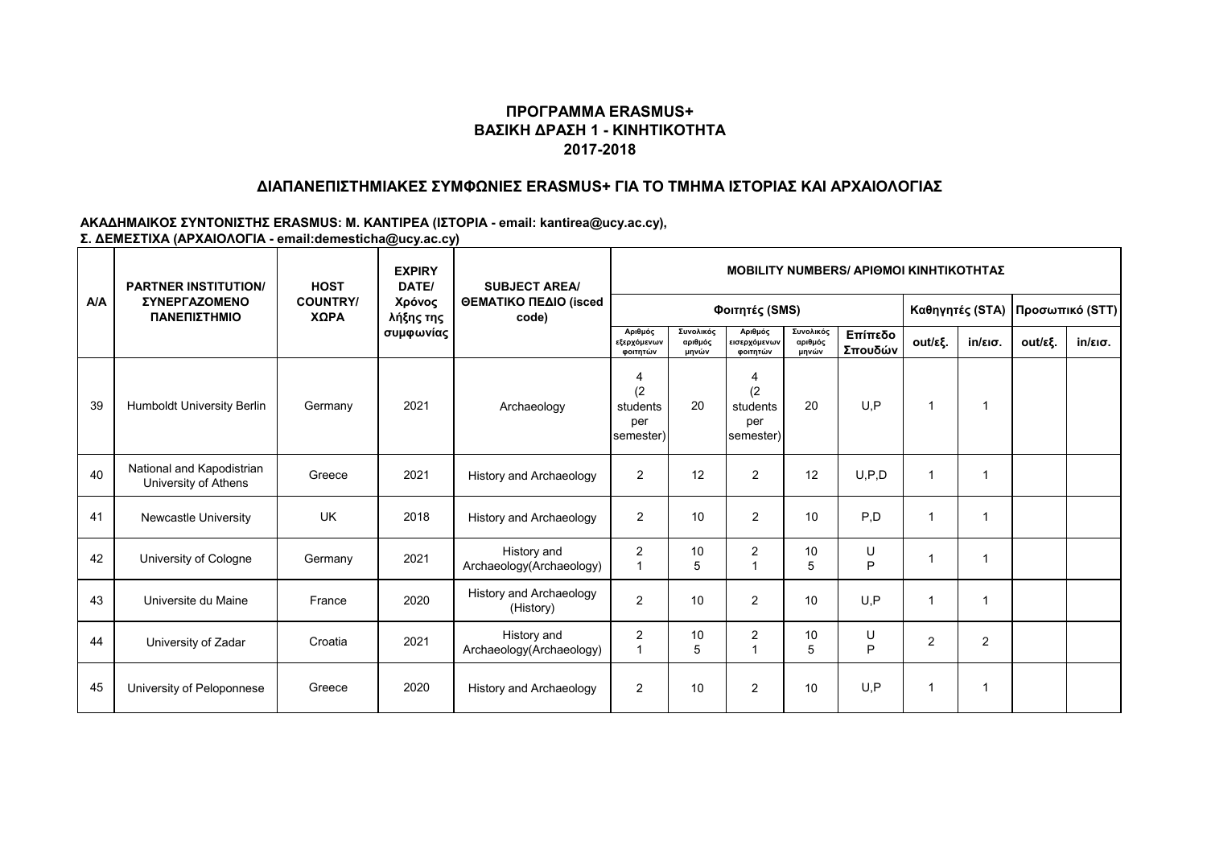## **ΔΙΑΠΑΝΕΠΙΣΤΗΜΙΑΚΕΣ ΣΥΜΦΩΝΙΕΣ ERASMUS+ ΓΙΑ ΤΟ ΤΜΗΜΑ ΙΣΤΟΡΙΑΣ ΚΑΙ ΑΡΧΑΙΟΛΟΓΙΑΣ**

|     | <b>PARTNER INSTITUTION/</b><br><b>ΣΥΝΕΡΓΑΖΟΜΕΝΟ</b><br>ΠΑΝΕΠΙΣΤΗΜΙΟ | <b>HOST</b>             | <b>EXPIRY</b><br>DATE/<br>Χρόνος<br>λήξης της | <b>SUBJECT AREA/</b><br>ΘΕΜΑΤΙΚΟ ΠΕΔΙΟ (isced<br>code) | <b>MOBILITY NUMBERS/ APIOMOI KINHTIKOTHTAZ</b>        |                               |                                          |                               |                    |                      |                   |         |                   |  |  |
|-----|---------------------------------------------------------------------|-------------------------|-----------------------------------------------|--------------------------------------------------------|-------------------------------------------------------|-------------------------------|------------------------------------------|-------------------------------|--------------------|----------------------|-------------------|---------|-------------------|--|--|
| A/A |                                                                     | <b>COUNTRY/</b><br>ΧΩΡΑ |                                               |                                                        |                                                       |                               | Καθηγητές (STA)                          |                               | Προσωπικό (STT)    |                      |                   |         |                   |  |  |
|     |                                                                     |                         | συμφωνίας                                     |                                                        | Αριθμός<br>εξερχόμενων<br>φοιτητών                    | Συνολικός<br>αριθμός<br>μηνών | Αριθμός<br>εισερχόμενων<br>φοιτητών      | Συνολικός<br>αριθμός<br>μηνών | Επίπεδο<br>Σπουδών | out/εξ.              | $in/\epsilon$ ισ. | out/εξ. | $in/\epsilon$ ισ. |  |  |
| 39  | <b>Humboldt University Berlin</b>                                   | Germany                 | 2021                                          | Archaeology                                            | $\overline{4}$<br>(2)<br>students<br>per<br>semester) | 20                            | 4<br>(2)<br>students<br>per<br>semester) | 20                            | U.P                | $\mathbf 1$          |                   |         |                   |  |  |
| 40  | National and Kapodistrian<br>University of Athens                   | Greece                  | 2021                                          | <b>History and Archaeology</b>                         | 2                                                     | 12                            | 2                                        | 12                            | U, P, D            | -1                   |                   |         |                   |  |  |
| 41  | <b>Newcastle University</b>                                         | UK                      | 2018                                          | <b>History and Archaeology</b>                         | 2                                                     | 10                            | 2                                        | 10                            | P.D                | $\blacktriangleleft$ |                   |         |                   |  |  |
| 42  | University of Cologne                                               | Germany                 | 2021                                          | History and<br>Archaeology(Archaeology)                | 2                                                     | 10<br>5                       | $\overline{2}$                           | 10<br>5                       | U<br>P             | 1                    |                   |         |                   |  |  |
| 43  | Universite du Maine                                                 | France                  | 2020                                          | <b>History and Archaeology</b><br>(History)            | $\overline{2}$                                        | 10                            | 2                                        | 10                            | U.P                | $\blacktriangleleft$ |                   |         |                   |  |  |
| 44  | University of Zadar                                                 | Croatia                 | 2021                                          | History and<br>Archaeology(Archaeology)                | $\overline{2}$                                        | 10<br>5                       | 2                                        | 10<br>5                       | U<br>P             | $\overline{2}$       | $\overline{2}$    |         |                   |  |  |
| 45  | University of Peloponnese                                           | Greece                  | 2020                                          | History and Archaeology                                | 2                                                     | 10                            | $\overline{2}$                           | 10                            | U.P                | $\mathbf 1$          |                   |         |                   |  |  |